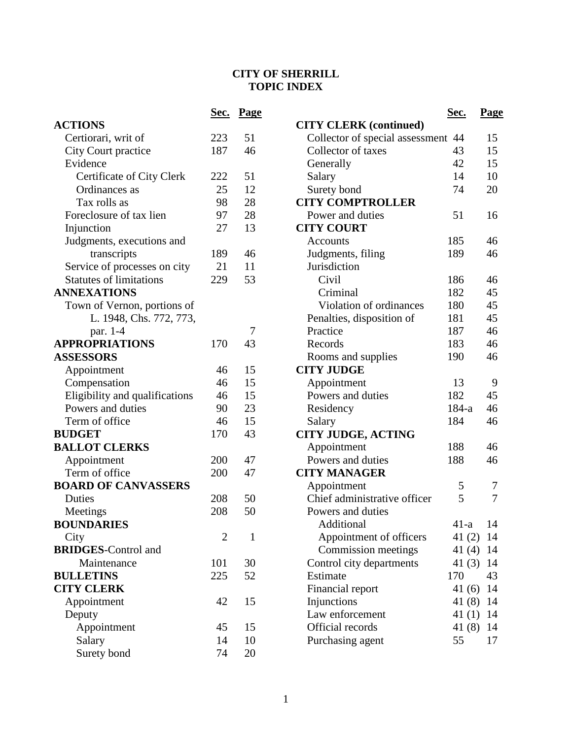## **CITY OF SHERRILL TOPIC INDEX**

|                                | <u>Sec.</u>    | <b>Page</b>  |                 |
|--------------------------------|----------------|--------------|-----------------|
| <b>ACTIONS</b>                 |                |              | <b>CITY CLE</b> |
| Certiorari, writ of            | 223            | 51           | Collector       |
| City Court practice            | 187            | 46           | Collector       |
| Evidence                       |                |              | Generally       |
| Certificate of City Clerk      | 222            | 51           | Salary          |
| Ordinances as                  | 25             | 12           | Surety bo       |
| Tax rolls as                   | 98             | 28           | <b>CITY COM</b> |
| Foreclosure of tax lien        | 97             | 28           | Power and       |
| Injunction                     | 27             | 13           | <b>CITY COU</b> |
| Judgments, executions and      |                |              | Accounts        |
| transcripts                    | 189            | 46           | Judgment        |
| Service of processes on city   | 21             | 11           | Jurisdictio     |
| <b>Statutes of limitations</b> | 229            | 53           | Civil           |
| <b>ANNEXATIONS</b>             |                |              | Crimin          |
| Town of Vernon, portions of    |                |              | Violati         |
| L. 1948, Chs. 772, 773,        |                |              | Penalties,      |
| par. 1-4                       |                | 7            | Practice        |
| <b>APPROPRIATIONS</b>          | 170            | 43           | Records         |
| <b>ASSESSORS</b>               |                |              | Rooms ar        |
| Appointment                    | 46             | 15           | <b>CITY JUD</b> |
| Compensation                   | 46             | 15           | Appointm        |
| Eligibility and qualifications | 46             | 15           | Powers ar       |
| Powers and duties              | 90             | 23           | Residency       |
| Term of office                 | 46             | 15           | Salary          |
| <b>BUDGET</b>                  | 170            | 43           | <b>CITY JUD</b> |
| <b>BALLOT CLERKS</b>           |                |              | Appointm        |
| Appointment                    | 200            | 47           | Powers ar       |
| Term of office                 | 200            | 47           | <b>CITY MAN</b> |
| <b>BOARD OF CANVASSERS</b>     |                |              | Appointm        |
| Duties                         | 208            | 50           | Chief adn       |
| Meetings                       | 208            | 50           | Powers ar       |
| <b>BOUNDARIES</b>              |                |              | Additic         |
| City                           | $\overline{2}$ | $\mathbf{1}$ | Appoin          |
| <b>BRIDGES-Control and</b>     |                |              | Commi           |
| Maintenance                    | 101            | 30           | Control ci      |
| <b>BULLETINS</b>               | 225            | 52           | Estimate        |
| <b>CITY CLERK</b>              |                |              | Financial       |
| Appointment                    | 42             | 15           | Injunction      |
| Deputy                         |                |              | Law enfor       |
| Appointment                    | 45             | 15           | Official re     |
| Salary                         | 14             | 10           | Purchasin       |
| Surety bond                    | 74             | 20           |                 |

|                                 | Sec.      | <u>Page</u> |
|---------------------------------|-----------|-------------|
| <b>CITY CLERK</b> (continued)   |           |             |
| Collector of special assessment | 44        | 15          |
| Collector of taxes              | 43        | 15          |
| Generally                       | 42        | 15          |
| Salary                          | 14        | 10          |
| Surety bond                     | 74        | 20          |
| <b>CITY COMPTROLLER</b>         |           |             |
| Power and duties                | 51        | 16          |
| <b>CITY COURT</b>               |           |             |
| <b>Accounts</b>                 | 185       | 46          |
| Judgments, filing               | 189       | 46          |
| Jurisdiction                    |           |             |
| Civil                           | 186       | 46          |
| Criminal                        | 182       | 45          |
| Violation of ordinances         | 180       | 45          |
| Penalties, disposition of       | 181       | 45          |
| Practice                        | 187       | 46          |
| Records                         | 183       | 46          |
| Rooms and supplies              | 190       | 46          |
| <b>CITY JUDGE</b>               |           |             |
| Appointment                     | 13        | 9           |
| Powers and duties               | 182       | 45          |
| Residency                       | $184 - a$ | 46          |
| Salary                          | 184       | 46          |
| <b>CITY JUDGE, ACTING</b>       |           |             |
| Appointment                     | 188       | 46          |
| Powers and duties               | 188       | 46          |
| <b>CITY MANAGER</b>             |           |             |
| Appointment                     | 5         | 7           |
| Chief administrative officer    | 5         | 7           |
| Powers and duties               |           |             |
| Additional                      | $41-a$    | 14          |
| Appointment of officers         | 41(2)     | 14          |
| Commission meetings             | 41(4)     | 14          |
| Control city departments        | 41 (3)    | 14          |
| Estimate                        | 170       | 43          |
| Financial report                | 41 (6)    | 14          |
| Injunctions                     | 41(8)     | 14          |
| Law enforcement                 |           | 41 (1) 14   |
| Official records                | 41 (8)    | 14          |
| Purchasing agent                | 55        | 17          |
|                                 |           |             |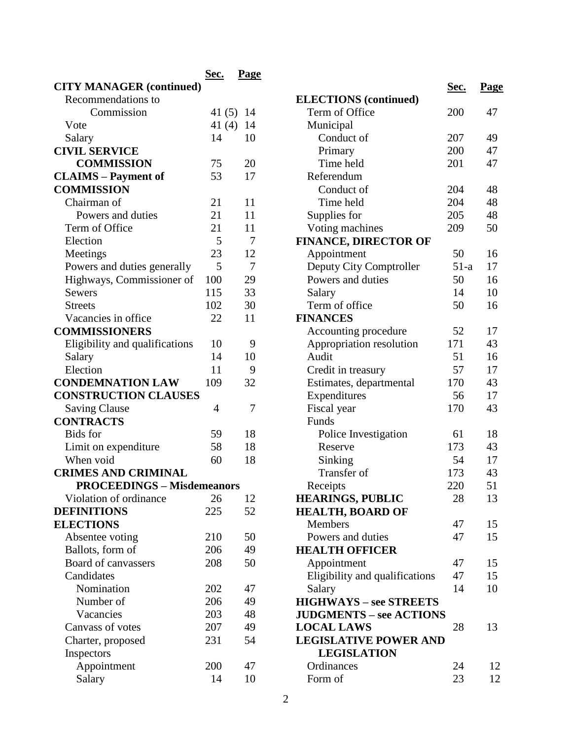|                                   | Sec.      | Page |
|-----------------------------------|-----------|------|
| <b>CITY MANAGER (continued)</b>   |           |      |
| Recommendations to                |           |      |
| Commission                        | 41 (5) 14 |      |
| Vote                              | 41 (4) 14 |      |
| Salary                            | 14        | 10   |
| <b>CIVIL SERVICE</b>              |           |      |
| <b>COMMISSION</b>                 | 75        | 20   |
| <b>CLAIMS</b> – Payment of        | 53        | 17   |
| <b>COMMISSION</b>                 |           |      |
| Chairman of                       | 21        | 11   |
| Powers and duties                 | 21        | 11   |
| Term of Office                    | 21        | 11   |
| Election                          | 5         | -7   |
| Meetings                          | 23        | 12   |
| Powers and duties generally       | 5         | 7    |
| Highways, Commissioner of         | 100       | 29   |
| <b>Sewers</b>                     | 115       | 33   |
| <b>Streets</b>                    | 102       | 30   |
|                                   | 22        |      |
| Vacancies in office               |           | 11   |
| <b>COMMISSIONERS</b>              |           |      |
| Eligibility and qualifications    | 10        | 9    |
| Salary                            | 14        | 10   |
| Election                          | 11        | 9    |
| <b>CONDEMNATION LAW</b>           | 109       | 32   |
| <b>CONSTRUCTION CLAUSES</b>       |           |      |
| <b>Saving Clause</b>              | 4         | 7    |
| <b>CONTRACTS</b>                  |           |      |
| <b>Bids</b> for                   | 59        | 18   |
| Limit on expenditure              | 58        | 18   |
| When void                         | 60        | 18   |
| <b>CRIMES AND CRIMINAL</b>        |           |      |
| <b>PROCEEDINGS - Misdemeanors</b> |           |      |
| Violation of ordinance            | 26        | 12   |
| <b>DEFINITIONS</b>                | 225       | 52   |
| <b>ELECTIONS</b>                  |           |      |
| Absentee voting                   | 210       | 50   |
| Ballots, form of                  | 206       | 49   |
| Board of canvassers               | 208       | 50   |
| Candidates                        |           |      |
| Nomination                        | 202       | 47   |
| Number of                         | 206       | 49   |
| Vacancies                         | 203       | 48   |
| Canvass of votes                  | 207       | 49   |
| Charter, proposed                 | 231       | 54   |
| Inspectors                        |           |      |
| Appointment                       | 200       | 47   |
| Salary                            | 14        | 10   |
|                                   |           |      |

|                                     | <u>Sec.</u> | <u>Page</u> |
|-------------------------------------|-------------|-------------|
| <b>ELECTIONS</b> (continued)        |             |             |
| Term of Office                      | 200         | 47          |
| Municipal                           |             |             |
| Conduct of                          | 207         | 49          |
| Primary                             | 200         | 47          |
| Time held                           | 201         | 47          |
| Referendum                          |             |             |
| Conduct of                          | 204         | 48          |
| Time held                           | 204         | 48          |
| Supplies for                        | 205         | 48          |
| Voting machines                     | 209         | 50          |
| <b>FINANCE, DIRECTOR OF</b>         |             |             |
| Appointment                         | 50          | 16          |
| Deputy City Comptroller             | $51-a$      | 17          |
| Powers and duties                   | 50          | 16          |
| Salary                              | 14          | 10          |
| Term of office                      | 50          | 16          |
| <b>FINANCES</b>                     |             |             |
| Accounting procedure                | 52          | 17          |
| Appropriation resolution            | 171         | 43          |
| Audit                               | 51          | 16          |
| Credit in treasury                  | 57          | 17          |
| Estimates, departmental             | 170         | 43          |
| Expenditures                        | 56          | 17          |
| Fiscal year                         | 170         | 43          |
| Funds                               |             |             |
| Police Investigation                | 61          | 18          |
| Reserve                             | 173         | 43          |
| Sinking                             | 54          | 17          |
| Transfer of                         | 173         | 43          |
|                                     | 220         | 51          |
| Receipts<br><b>HEARINGS, PUBLIC</b> | 28          | 13          |
| <b>HEALTH, BOARD OF</b>             |             |             |
| <b>Members</b>                      | 47          | 15          |
| Powers and duties                   | 47          | 15          |
| <b>HEALTH OFFICER</b>               |             |             |
| Appointment                         | 47          | 15          |
| Eligibility and qualifications      | 47          | 15          |
| Salary                              | 14          | 10          |
| <b>HIGHWAYS - see STREETS</b>       |             |             |
| <b>JUDGMENTS – see ACTIONS</b>      |             |             |
| <b>LOCAL LAWS</b>                   | 28          | 13          |
| <b>LEGISLATIVE POWER AND</b>        |             |             |
| <b>LEGISLATION</b>                  |             |             |
| Ordinances                          | 24          | 12          |
| Form of                             | 23          | 12          |
|                                     |             |             |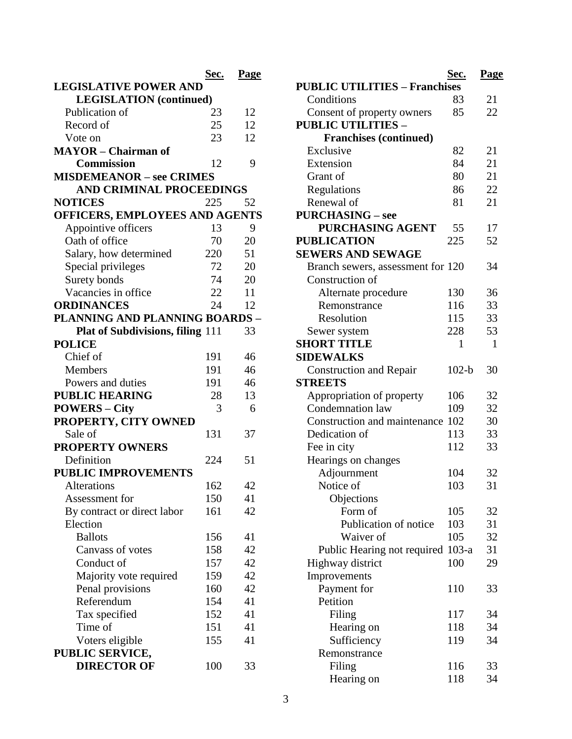|                                         | Sec. | Page |
|-----------------------------------------|------|------|
| <b>LEGISLATIVE POWER AND</b>            |      |      |
| <b>LEGISLATION</b> (continued)          |      |      |
| Publication of                          | 23   | 12   |
| Record of                               | 25   | 12   |
| Vote on                                 | 23   | 12   |
| <b>MAYOR</b> - Chairman of              |      |      |
| <b>Commission</b>                       | 12   | 9    |
| <b>MISDEMEANOR - see CRIMES</b>         |      |      |
| <b>AND CRIMINAL PROCEEDINGS</b>         |      |      |
| <b>NOTICES</b>                          | 225  | 52   |
| OFFICERS, EMPLOYEES AND AGENTS          |      |      |
| Appointive officers                     | 13   | 9    |
| Oath of office                          | 70   | 20   |
| Salary, how determined                  | 220  | 51   |
| Special privileges                      | 72   | 20   |
| Surety bonds                            | 74   | 20   |
| Vacancies in office                     | 22   | 11   |
| <b>ORDINANCES</b>                       | 24   | 12   |
| PLANNING AND PLANNING BOARDS            |      |      |
| <b>Plat of Subdivisions, filing 111</b> |      | 33   |
| <b>POLICE</b>                           |      |      |
| Chief of                                | 191  | 46   |
| <b>Members</b>                          | 191  | 46   |
| Powers and duties                       | 191  | 46   |
| <b>PUBLIC HEARING</b>                   | 28   | 13   |
| <b>POWERS – City</b>                    | 3    | 6    |
| PROPERTY, CITY OWNED                    |      |      |
| Sale of                                 | 131  | 37   |
| <b>PROPERTY OWNERS</b>                  |      |      |
| Definition                              | 224  | 51   |
| <b>PUBLIC IMPROVEMENTS</b>              |      |      |
| <b>Alterations</b>                      | 162  | 42   |
| Assessment for                          | 150  | 41   |
| By contract or direct labor             | 161  | 42   |
| Election                                |      |      |
| <b>Ballots</b>                          | 156  | 41   |
| Canvass of votes                        | 158  | 42   |
| Conduct of                              | 157  | 42   |
| Majority vote required                  | 159  | 42   |
| Penal provisions                        | 160  | 42   |
| Referendum                              | 154  | 41   |
| Tax specified                           | 152  | 41   |
| Time of                                 | 151  | 41   |
| Voters eligible                         | 155  | 41   |
| PUBLIC SERVICE,                         |      |      |
| <b>DIRECTOR OF</b>                      | 100  | 33   |
|                                         |      |      |

| <b>PUBLIC UTILITIES - Franchises</b>                 | Sec.    | Page |
|------------------------------------------------------|---------|------|
| Conditions                                           | 83      | 21   |
| Consent of property owners                           | 85      | 22   |
| <b>PUBLIC UTILITIES -</b>                            |         |      |
| <b>Franchises (continued)</b>                        |         |      |
| Exclusive                                            | 82      | 21   |
| Extension                                            | 84      | 21   |
| Grant of                                             | 80      | 21   |
|                                                      | 86      | 22   |
| Regulations<br>Renewal of                            | 81      | 21   |
| <b>PURCHASING – see</b>                              |         |      |
| <b>PURCHASING AGENT</b>                              | 55      | 17   |
| <b>PUBLICATION</b>                                   | 225     | 52   |
| <b>SEWERS AND SEWAGE</b>                             |         |      |
|                                                      |         |      |
| Branch sewers, assessment for 120<br>Construction of |         | 34   |
|                                                      |         |      |
| Alternate procedure                                  | 130     | 36   |
| Remonstrance                                         | 116     | 33   |
| Resolution                                           | 115     | 33   |
| Sewer system                                         | 228     | 53   |
| <b>SHORT TITLE</b>                                   | 1       | 1    |
| <b>SIDEWALKS</b>                                     |         |      |
| <b>Construction and Repair</b>                       | $102-b$ | 30   |
| <b>STREETS</b>                                       |         |      |
| Appropriation of property                            | 106     | 32   |
| Condemnation law                                     | 109     | 32   |
| Construction and maintenance 102                     |         | 30   |
| Dedication of                                        | 113     | 33   |
| Fee in city                                          | 112     | 33   |
| Hearings on changes                                  |         |      |
| Adjournment                                          | 104     | 32   |
| Notice of                                            | 103     | 31   |
| Objections                                           |         |      |
| Form of                                              | 105     | 32   |
| Publication of notice                                | 103     | 31   |
| Waiver of                                            | 105     | 32   |
| Public Hearing not required                          | $103-a$ | 31   |
| Highway district                                     | 100     | 29   |
| Improvements                                         |         |      |
| Payment for                                          | 110     | 33   |
| Petition                                             |         |      |
| Filing                                               | 117     | 34   |
| Hearing on                                           | 118     | 34   |
| Sufficiency                                          | 119     | 34   |
| Remonstrance                                         |         |      |
| Filing                                               | 116     | 33   |
| Hearing on                                           | 118     | 34   |